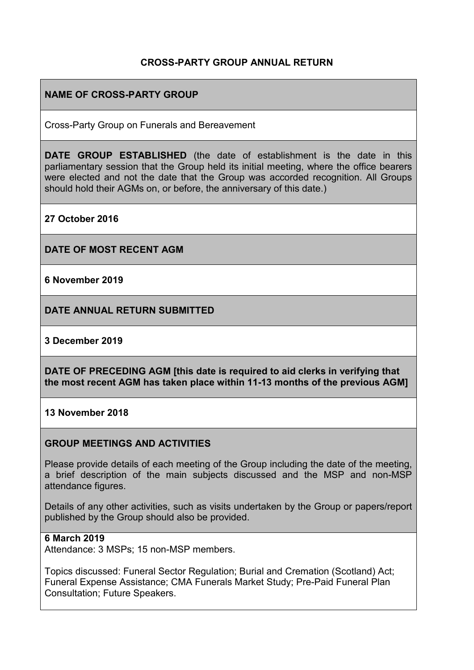# **CROSS-PARTY GROUP ANNUAL RETURN**

# **NAME OF CROSS-PARTY GROUP**

Cross-Party Group on Funerals and Bereavement

**DATE GROUP ESTABLISHED** (the date of establishment is the date in this parliamentary session that the Group held its initial meeting, where the office bearers were elected and not the date that the Group was accorded recognition. All Groups should hold their AGMs on, or before, the anniversary of this date.)

**27 October 2016**

**DATE OF MOST RECENT AGM**

**6 November 2019**

**DATE ANNUAL RETURN SUBMITTED**

### **3 December 2019**

**DATE OF PRECEDING AGM [this date is required to aid clerks in verifying that the most recent AGM has taken place within 11-13 months of the previous AGM]**

#### **13 November 2018**

### **GROUP MEETINGS AND ACTIVITIES**

Please provide details of each meeting of the Group including the date of the meeting, a brief description of the main subjects discussed and the MSP and non-MSP attendance figures.

Details of any other activities, such as visits undertaken by the Group or papers/report published by the Group should also be provided.

#### **6 March 2019**

Attendance: 3 MSPs; 15 non-MSP members.

Topics discussed: Funeral Sector Regulation; Burial and Cremation (Scotland) Act; Funeral Expense Assistance; CMA Funerals Market Study; Pre-Paid Funeral Plan Consultation; Future Speakers.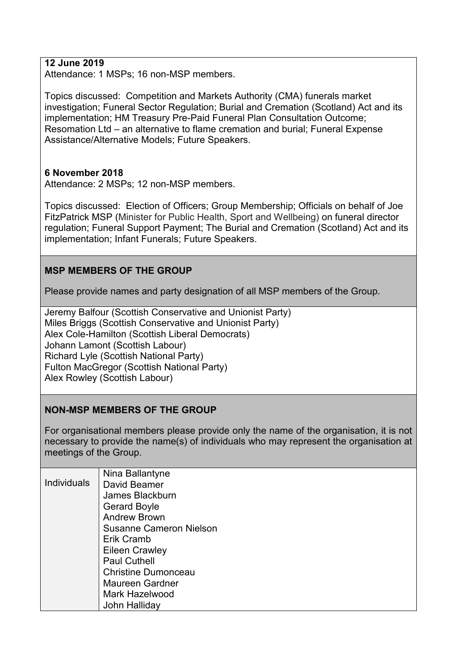## **12 June 2019**

Attendance: 1 MSPs; 16 non-MSP members.

Topics discussed: Competition and Markets Authority (CMA) funerals market investigation; Funeral Sector Regulation; Burial and Cremation (Scotland) Act and its implementation; HM Treasury Pre-Paid Funeral Plan Consultation Outcome; Resomation Ltd – an alternative to flame cremation and burial; Funeral Expense Assistance/Alternative Models; Future Speakers.

### **6 November 2018**

Attendance: 2 MSPs; 12 non-MSP members.

Topics discussed: Election of Officers; Group Membership; Officials on behalf of Joe FitzPatrick MSP (Minister for Public Health, Sport and Wellbeing) on funeral director regulation; Funeral Support Payment; The Burial and Cremation (Scotland) Act and its implementation; Infant Funerals; Future Speakers.

# **MSP MEMBERS OF THE GROUP**

Please provide names and party designation of all MSP members of the Group.

Jeremy Balfour (Scottish Conservative and Unionist Party) Miles Briggs (Scottish Conservative and Unionist Party) Alex Cole-Hamilton (Scottish Liberal Democrats) Johann Lamont (Scottish Labour) Richard Lyle (Scottish National Party) Fulton MacGregor (Scottish National Party) Alex Rowley (Scottish Labour)

### **NON-MSP MEMBERS OF THE GROUP**

For organisational members please provide only the name of the organisation, it is not necessary to provide the name(s) of individuals who may represent the organisation at meetings of the Group.

|                    | Nina Ballantyne                |
|--------------------|--------------------------------|
| <b>Individuals</b> | David Beamer                   |
|                    | James Blackburn                |
|                    | <b>Gerard Boyle</b>            |
|                    | <b>Andrew Brown</b>            |
|                    | <b>Susanne Cameron Nielson</b> |
|                    | Erik Cramb                     |
|                    | Eileen Crawley                 |
|                    | <b>Paul Cuthell</b>            |
|                    | <b>Christine Dumonceau</b>     |
|                    | <b>Maureen Gardner</b>         |
|                    | Mark Hazelwood                 |
|                    | John Halliday                  |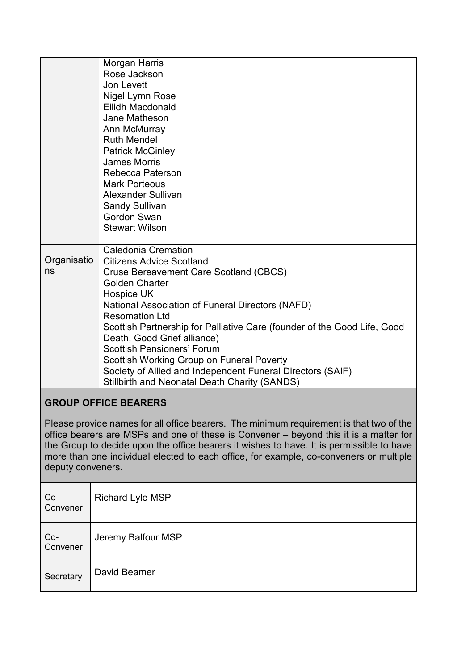|                                                                                         | Morgan Harris                                                             |  |
|-----------------------------------------------------------------------------------------|---------------------------------------------------------------------------|--|
|                                                                                         | Rose Jackson                                                              |  |
|                                                                                         | Jon Levett                                                                |  |
|                                                                                         | Nigel Lymn Rose                                                           |  |
|                                                                                         | Eilidh Macdonald                                                          |  |
|                                                                                         | Jane Matheson                                                             |  |
|                                                                                         | Ann McMurray                                                              |  |
|                                                                                         | <b>Ruth Mendel</b>                                                        |  |
|                                                                                         | <b>Patrick McGinley</b>                                                   |  |
|                                                                                         | <b>James Morris</b>                                                       |  |
|                                                                                         | Rebecca Paterson                                                          |  |
|                                                                                         | <b>Mark Porteous</b>                                                      |  |
|                                                                                         | Alexander Sullivan                                                        |  |
|                                                                                         | <b>Sandy Sullivan</b>                                                     |  |
|                                                                                         | Gordon Swan                                                               |  |
|                                                                                         | <b>Stewart Wilson</b>                                                     |  |
|                                                                                         |                                                                           |  |
| Organisatio                                                                             | <b>Caledonia Cremation</b>                                                |  |
| ns                                                                                      | <b>Citizens Advice Scotland</b>                                           |  |
|                                                                                         | Cruse Bereavement Care Scotland (CBCS)                                    |  |
|                                                                                         | <b>Golden Charter</b>                                                     |  |
|                                                                                         | Hospice UK                                                                |  |
|                                                                                         | National Association of Funeral Directors (NAFD)<br><b>Resomation Ltd</b> |  |
|                                                                                         | Scottish Partnership for Palliative Care (founder of the Good Life, Good  |  |
|                                                                                         | Death, Good Grief alliance)                                               |  |
|                                                                                         | <b>Scottish Pensioners' Forum</b>                                         |  |
|                                                                                         | Scottish Working Group on Funeral Poverty                                 |  |
|                                                                                         | Society of Allied and Independent Funeral Directors (SAIF)                |  |
|                                                                                         | Stillbirth and Neonatal Death Charity (SANDS)                             |  |
|                                                                                         |                                                                           |  |
| <b>GROUP OFFICE BEARERS</b>                                                             |                                                                           |  |
|                                                                                         |                                                                           |  |
| Please provide names for all office bearers. The minimum requirement is that two of the |                                                                           |  |
| office bearers are MSPs and one of these is Convener – bevond this it is a matter for   |                                                                           |  |

office bearers are MSPs and one of these is Convener – beyond this it is a matter for the Group to decide upon the office bearers it wishes to have. It is permissible to have more than one individual elected to each office, for example, co-conveners or multiple deputy conveners.

| $Co-$<br>Convener | <b>Richard Lyle MSP</b> |
|-------------------|-------------------------|
| $Co-$<br>Convener | Jeremy Balfour MSP      |
| Secretary         | David Beamer            |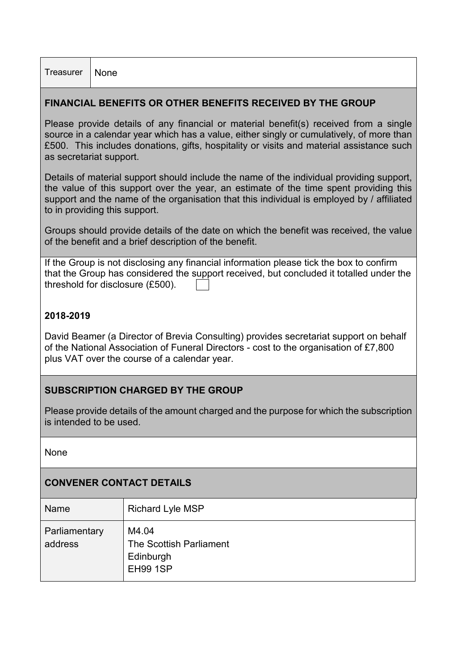| Treasurer   None |  |
|------------------|--|
|------------------|--|

## **FINANCIAL BENEFITS OR OTHER BENEFITS RECEIVED BY THE GROUP**

Please provide details of any financial or material benefit(s) received from a single source in a calendar year which has a value, either singly or cumulatively, of more than £500. This includes donations, gifts, hospitality or visits and material assistance such as secretariat support.

Details of material support should include the name of the individual providing support, the value of this support over the year, an estimate of the time spent providing this support and the name of the organisation that this individual is employed by / affiliated to in providing this support.

Groups should provide details of the date on which the benefit was received, the value of the benefit and a brief description of the benefit.

|                                  | If the Group is not disclosing any financial information please tick the box to confirm |
|----------------------------------|-----------------------------------------------------------------------------------------|
|                                  | that the Group has considered the support received, but concluded it totalled under the |
| threshold for disclosure (£500). |                                                                                         |

## **2018-2019**

David Beamer (a Director of Brevia Consulting) provides secretariat support on behalf of the National Association of Funeral Directors - cost to the organisation of £7,800 plus VAT over the course of a calendar year.

### **SUBSCRIPTION CHARGED BY THE GROUP**

Please provide details of the amount charged and the purpose for which the subscription is intended to be used.

None

### **CONVENER CONTACT DETAILS**

| Name                     | <b>Richard Lyle MSP</b>                                          |
|--------------------------|------------------------------------------------------------------|
| Parliamentary<br>address | M4.04<br>The Scottish Parliament<br>Edinburgh<br><b>EH99 1SP</b> |